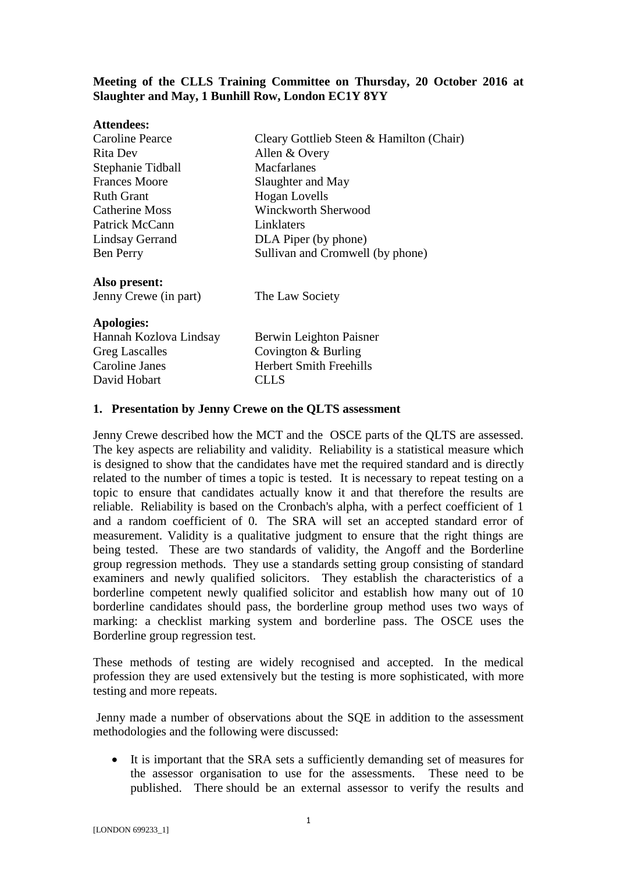## **Meeting of the CLLS Training Committee on Thursday, 20 October 2016 at Slaughter and May, 1 Bunhill Row, London EC1Y 8YY**

| <b>Attendees:</b>      |                                          |
|------------------------|------------------------------------------|
| Caroline Pearce        | Cleary Gottlieb Steen & Hamilton (Chair) |
| Rita Dev               | Allen & Overy                            |
| Stephanie Tidball      | Macfarlanes                              |
| <b>Frances Moore</b>   | Slaughter and May                        |
| <b>Ruth Grant</b>      | <b>Hogan</b> Lovells                     |
| Catherine Moss         | <b>Winckworth Sherwood</b>               |
| Patrick McCann         | Linklaters                               |
| Lindsay Gerrand        | DLA Piper (by phone)                     |
| Ben Perry              | Sullivan and Cromwell (by phone)         |
| Also present:          |                                          |
| Jenny Crewe (in part)  | The Law Society                          |
| <b>Apologies:</b>      |                                          |
| Hannah Kozlova Lindsay | Berwin Leighton Paisner                  |
| <b>Greg Lascalles</b>  | Covington $&$ Burling                    |
| Caroline Janes         | <b>Herbert Smith Freehills</b>           |
| David Hobart           | CLLS                                     |
|                        |                                          |

## **1. Presentation by Jenny Crewe on the QLTS assessment**

Jenny Crewe described how the MCT and the OSCE parts of the QLTS are assessed. The key aspects are reliability and validity. Reliability is a statistical measure which is designed to show that the candidates have met the required standard and is directly related to the number of times a topic is tested. It is necessary to repeat testing on a topic to ensure that candidates actually know it and that therefore the results are reliable. Reliability is based on the Cronbach's alpha, with a perfect coefficient of 1 and a random coefficient of 0. The SRA will set an accepted standard error of measurement. Validity is a qualitative judgment to ensure that the right things are being tested. These are two standards of validity, the Angoff and the Borderline group regression methods. They use a standards setting group consisting of standard examiners and newly qualified solicitors. They establish the characteristics of a borderline competent newly qualified solicitor and establish how many out of 10 borderline candidates should pass, the borderline group method uses two ways of marking: a checklist marking system and borderline pass. The OSCE uses the Borderline group regression test.

These methods of testing are widely recognised and accepted. In the medical profession they are used extensively but the testing is more sophisticated, with more testing and more repeats.

Jenny made a number of observations about the SQE in addition to the assessment methodologies and the following were discussed:

 It is important that the SRA sets a sufficiently demanding set of measures for the assessor organisation to use for the assessments. These need to be published. There should be an external assessor to verify the results and